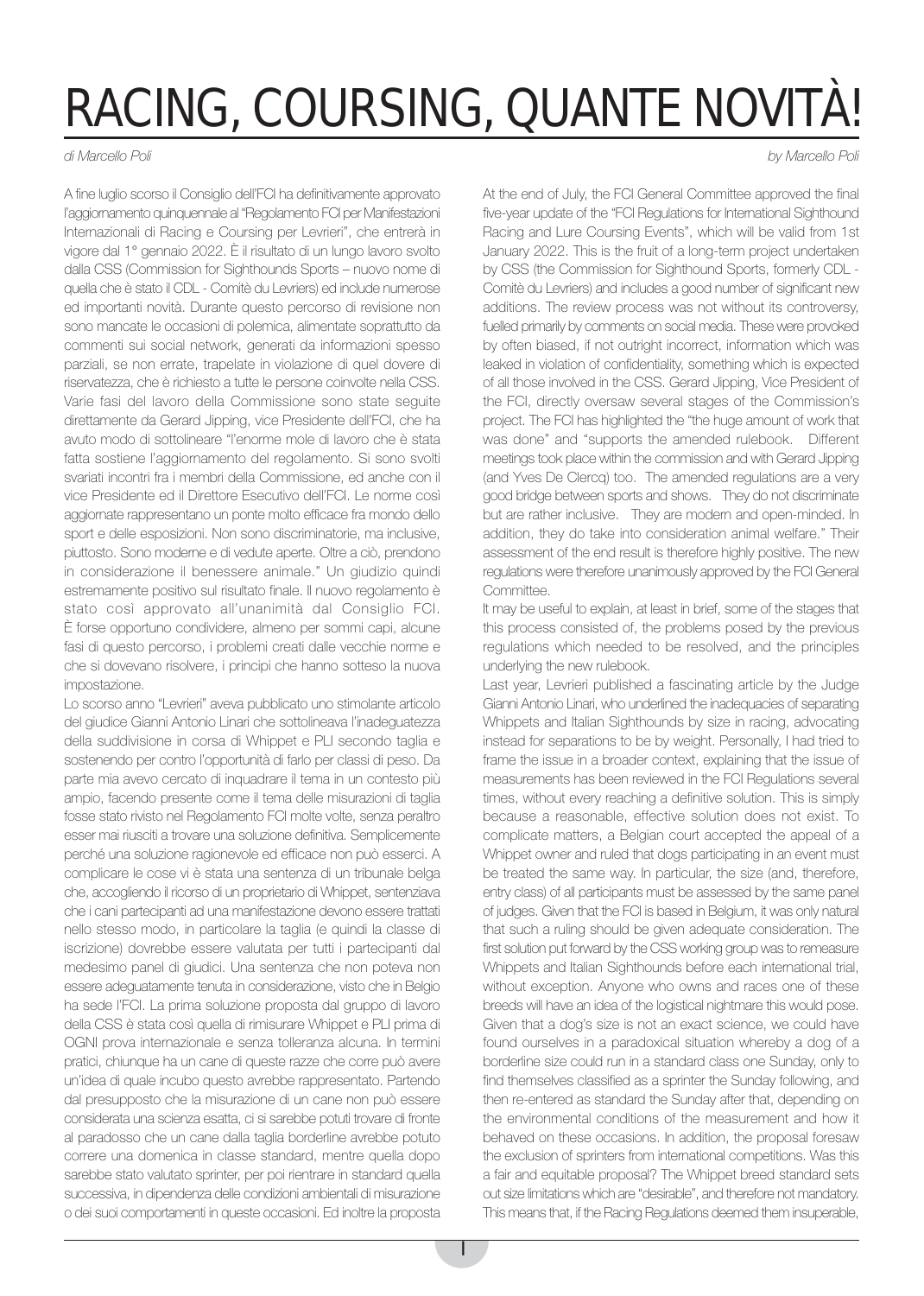## RACING, COURSING, QUANTE NOVITÀ!

di Marcello Poli

A fine luglio scorso il Consiglio dell'FCI ha definitivamente approvato l'aggiornamento quinquennale al "Regolamento FCI per Manifestazioni Internazionali di Racing e Coursing per Levrieri", che entrerà in vigore dal 1° gennaio 2022. È il risultato di un lungo lavoro svolto dalla CSS (Commission for Sighthounds Sports – nuovo nome di quella che è stato il CDL - Comitè du Levriers) ed include numerose ed importanti novità. Durante questo percorso di revisione non sono mancate le occasioni di polemica, alimentate soprattutto da commenti sui social network, generati da informazioni spesso parziali, se non errate, trapelate in violazione di quel dovere di riservatezza, che è richiesto a tutte le persone coinvolte nella CSS. Varie fasi del lavoro della Commissione sono state seguite direttamente da Gerard Jipping, vice Presidente dell'FCI, che ha avuto modo di sottolineare "l'enorme mole di lavoro che è stata fatta sostiene l'aggiornamento del regolamento. Si sono svolti svariati incontri fra i membri della Commissione, ed anche con il vice Presidente ed il Direttore Esecutivo dell'FCI. Le norme così aggiornate rappresentano un ponte molto efficace fra mondo dello sport e delle esposizioni. Non sono discriminatorie, ma inclusive, piuttosto. Sono moderne e di vedute aperte. Oltre a ciò, prendono in considerazione il benessere animale." Un giudizio quindi estremamente positivo sul risultato finale. Il nuovo regolamento è stato così approvato all'unanimità dal Consiglio FCI. È forse opportuno condividere, almeno per sommi capi, alcune fasi di questo percorso, i problemi creati dalle vecchie norme e che si dovevano risolvere, i principi che hanno sotteso la nuova impostazione.

Lo scorso anno "Levrieri" aveva pubblicato uno stimolante articolo del giudice Gianni Antonio Linari che sottolineava l'inadeguatezza della suddivisione in corsa di Whippet e PLI secondo taglia e sostenendo per contro l'opportunità di farlo per classi di peso. Da parte mia avevo cercato di inquadrare il tema in un contesto più ampio, facendo presente come il tema delle misurazioni di taglia fosse stato rivisto nel Regolamento FCI molte volte, senza peraltro esser mai riusciti a trovare una soluzione definitiva. Semplicemente perché una soluzione ragionevole ed efficace non può esserci. A complicare le cose vi è stata una sentenza di un tribunale belga che, accogliendo il ricorso di un proprietario di Whippet, sentenziava che i cani partecipanti ad una manifestazione devono essere trattati nello stesso modo, in particolare la taglia (e quindi la classe di iscrizione) dovrebbe essere valutata per tutti i partecipanti dal medesimo panel di giudici. Una sentenza che non poteva non essere adeguatamente tenuta in considerazione, visto che in Belgio ha sede l'FCI. La prima soluzione proposta dal gruppo di lavoro della CSS è stata così quella di rimisurare Whippet e PLI prima di OGNI prova internazionale e senza tolleranza alcuna. In termini pratici, chiunque ha un cane di queste razze che corre può avere un'idea di quale incubo questo avrebbe rappresentato. Partendo dal presupposto che la misurazione di un cane non può essere considerata una scienza esatta, ci si sarebbe potuti trovare di fronte al paradosso che un cane dalla taglia borderline avrebbe potuto correre una domenica in classe standard, mentre quella dopo sarebbe stato valutato sprinter, per poi rientrare in standard quella successiva, in dipendenza delle condizioni ambientali di misurazione o dei suoi comportamenti in queste occasioni. Ed inoltre la proposta by Marcello Poli

At the end of July, the FCI General Committee approved the final five-year update of the "FCI Regulations for International Sighthound Racing and Lure Coursing Events", which will be valid from 1st January 2022. This is the fruit of a long-term project undertaken by CSS (the Commission for Sighthound Sports, formerly CDL - Comitè du Levriers) and includes a good number of significant new additions. The review process was not without its controversy, fuelled primarily by comments on social media. These were provoked by often biased, if not outright incorrect, information which was leaked in violation of confidentiality, something which is expected of all those involved in the CSS. Gerard Jipping, Vice President of the FCI, directly oversaw several stages of the Commission's project. The FCI has highlighted the "the huge amount of work that was done" and "supports the amended rulebook. Different meetings took place within the commission and with Gerard Jipping (and Yves De Clercq) too. The amended regulations are a very good bridge between sports and shows. They do not discriminate but are rather inclusive. They are modern and open-minded. In addition, they do take into consideration animal welfare." Their assessment of the end result is therefore highly positive. The new regulations were therefore unanimously approved by the FCI General Committee.

It may be useful to explain, at least in brief, some of the stages that this process consisted of, the problems posed by the previous regulations which needed to be resolved, and the principles underlying the new rulebook.

Last year, Levrieri published a fascinating article by the Judge Gianni Antonio Linari, who underlined the inadequacies of separating Whippets and Italian Sighthounds by size in racing, advocating instead for separations to be by weight. Personally, I had tried to frame the issue in a broader context, explaining that the issue of measurements has been reviewed in the FCI Regulations several times, without every reaching a definitive solution. This is simply because a reasonable, effective solution does not exist. To complicate matters, a Belgian court accepted the appeal of a Whippet owner and ruled that dogs participating in an event must be treated the same way. In particular, the size (and, therefore, entry class) of all participants must be assessed by the same panel of judges. Given that the FCI is based in Belgium, it was only natural that such a ruling should be given adequate consideration. The first solution put forward by the CSS working group was to remeasure Whippets and Italian Sighthounds before each international trial, without exception. Anyone who owns and races one of these breeds will have an idea of the logistical nightmare this would pose. Given that a dog's size is not an exact science, we could have found ourselves in a paradoxical situation whereby a dog of a borderline size could run in a standard class one Sunday, only to find themselves classified as a sprinter the Sunday following, and then re-entered as standard the Sunday after that, depending on the environmental conditions of the measurement and how it behaved on these occasions. In addition, the proposal foresaw the exclusion of sprinters from international competitions. Was this a fair and equitable proposal? The Whippet breed standard sets out size limitations which are "desirable", and therefore not mandatory. This means that, if the Racing Regulations deemed them insuperable,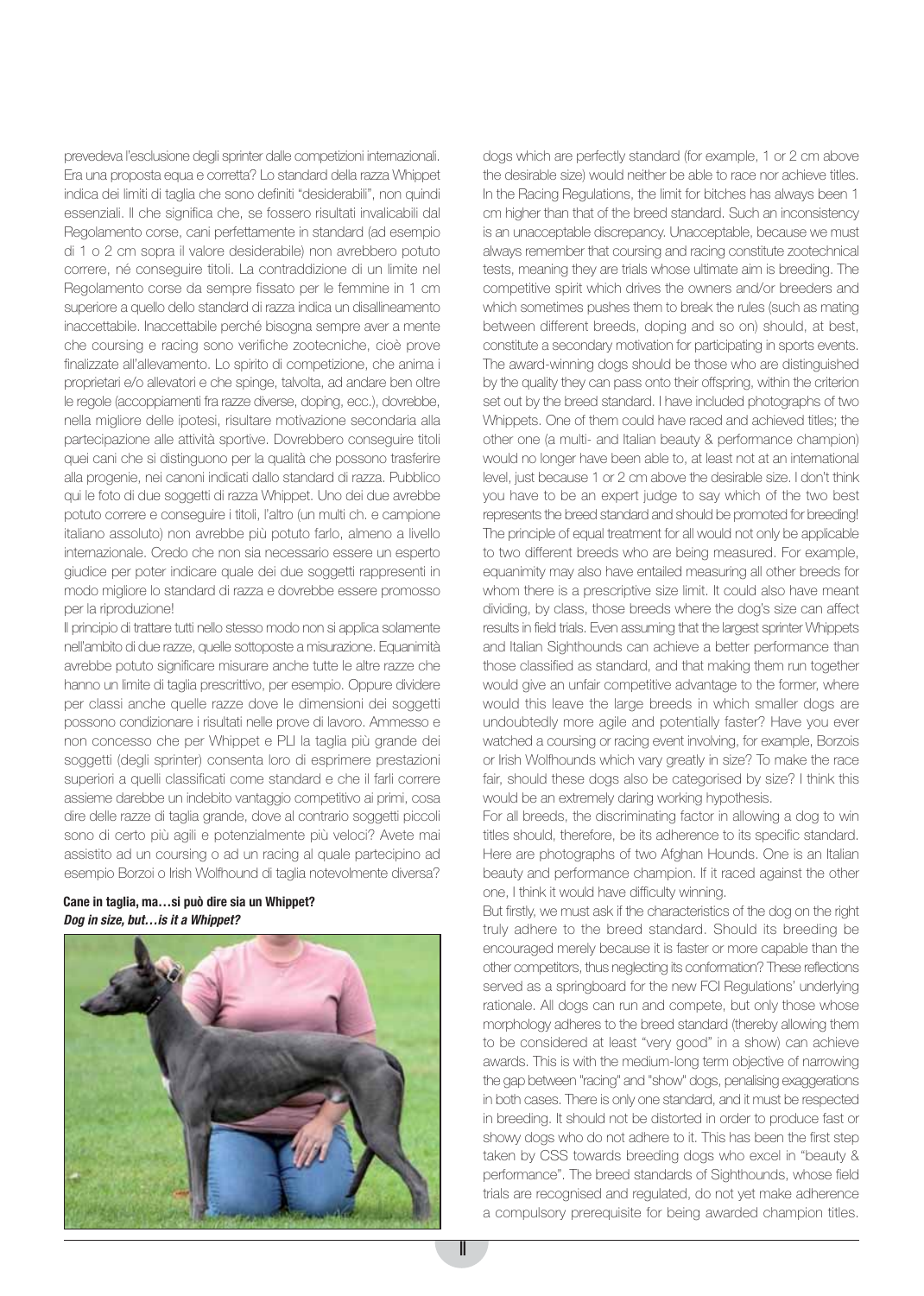prevedeva l'esclusione degli sprinter dalle competizioni internazionali. Era una proposta equa e corretta? Lo standard della razza Whippet indica dei limiti di taglia che sono definiti "desiderabili", non quindi essenziali. Il che significa che, se fossero risultati invalicabili dal Regolamento corse, cani perfettamente in standard (ad esempio di 1 o 2 cm sopra il valore desiderabile) non avrebbero potuto correre, né conseguire titoli. La contraddizione di un limite nel Regolamento corse da sempre fissato per le femmine in 1 cm superiore a quello dello standard di razza indica un disallineamento inaccettabile. Inaccettabile perché bisogna sempre aver a mente che coursing e racing sono verifiche zootecniche, cioè prove finalizzate all'allevamento. Lo spirito di competizione, che anima i proprietari e/o allevatori e che spinge, talvolta, ad andare ben oltre le regole (accoppiamenti fra razze diverse, doping, ecc.), dovrebbe, nella migliore delle ipotesi, risultare motivazione secondaria alla partecipazione alle attività sportive. Dovrebbero conseguire titoli quei cani che si distinguono per la qualità che possono trasferire alla progenie, nei canoni indicati dallo standard di razza. Pubblico qui le foto di due soggetti di razza Whippet. Uno dei due avrebbe potuto correre e conseguire i titoli, l'altro (un multi ch. e campione italiano assoluto) non avrebbe più potuto farlo, almeno a livello internazionale. Credo che non sia necessario essere un esperto giudice per poter indicare quale dei due soggetti rappresenti in modo migliore lo standard di razza e dovrebbe essere promosso per la riproduzione!

Il principio di trattare tutti nello stesso modo non si applica solamente nell'ambito di due razze, quelle sottoposte a misurazione. Equanimità avrebbe potuto significare misurare anche tutte le altre razze che hanno un limite di taglia prescrittivo, per esempio. Oppure dividere per classi anche quelle razze dove le dimensioni dei soggetti possono condizionare i risultati nelle prove di lavoro. Ammesso e non concesso che per Whippet e PLI la taglia più grande dei soggetti (degli sprinter) consenta loro di esprimere prestazioni superiori a quelli classificati come standard e che il farli correre assieme darebbe un indebito vantaggio competitivo ai primi, cosa dire delle razze di taglia grande, dove al contrario soggetti piccoli sono di certo più agili e potenzialmente più veloci? Avete mai assistito ad un coursing o ad un racing al quale partecipino ad esempio Borzoi o Irish Wolfhound di taglia notevolmente diversa?

## **Cane in taglia, ma…si può dire sia un Whippet? Dog in size, but…is it a Whippet?**



dogs which are perfectly standard (for example, 1 or 2 cm above the desirable size) would neither be able to race nor achieve titles. In the Racing Regulations, the limit for bitches has always been 1 cm higher than that of the breed standard. Such an inconsistency is an unacceptable discrepancy. Unacceptable, because we must always remember that coursing and racing constitute zootechnical tests, meaning they are trials whose ultimate aim is breeding. The competitive spirit which drives the owners and/or breeders and which sometimes pushes them to break the rules (such as mating between different breeds, doping and so on) should, at best, constitute a secondary motivation for participating in sports events. The award-winning dogs should be those who are distinguished by the quality they can pass onto their offspring, within the criterion set out by the breed standard. I have included photographs of two Whippets. One of them could have raced and achieved titles; the other one (a multi- and Italian beauty & performance champion) would no longer have been able to, at least not at an international level, just because 1 or 2 cm above the desirable size. I don't think you have to be an expert judge to say which of the two best represents the breed standard and should be promoted for breeding! The principle of equal treatment for all would not only be applicable to two different breeds who are being measured. For example, equanimity may also have entailed measuring all other breeds for whom there is a prescriptive size limit. It could also have meant dividing, by class, those breeds where the dog's size can affect results in field trials. Even assuming that the largest sprinter Whippets and Italian Sighthounds can achieve a better performance than those classified as standard, and that making them run together would give an unfair competitive advantage to the former, where would this leave the large breeds in which smaller dogs are undoubtedly more agile and potentially faster? Have you ever watched a coursing or racing event involving, for example, Borzois or Irish Wolfhounds which vary greatly in size? To make the race fair, should these dogs also be categorised by size? I think this would be an extremely daring working hypothesis.

For all breeds, the discriminating factor in allowing a dog to win titles should, therefore, be its adherence to its specific standard. Here are photographs of two Afghan Hounds. One is an Italian beauty and performance champion. If it raced against the other one, I think it would have difficulty winning.

But firstly, we must ask if the characteristics of the dog on the right truly adhere to the breed standard. Should its breeding be encouraged merely because it is faster or more capable than the other competitors, thus neglecting its conformation? These reflections served as a springboard for the new FCI Regulations' underlying rationale. All dogs can run and compete, but only those whose morphology adheres to the breed standard (thereby allowing them to be considered at least "very good" in a show) can achieve awards. This is with the medium-long term objective of narrowing the gap between "racing" and "show" dogs, penalising exaggerations in both cases. There is only one standard, and it must be respected in breeding. It should not be distorted in order to produce fast or showy dogs who do not adhere to it. This has been the first step taken by CSS towards breeding dogs who excel in "beauty & performance". The breed standards of Sighthounds, whose field trials are recognised and regulated, do not yet make adherence a compulsory prerequisite for being awarded champion titles.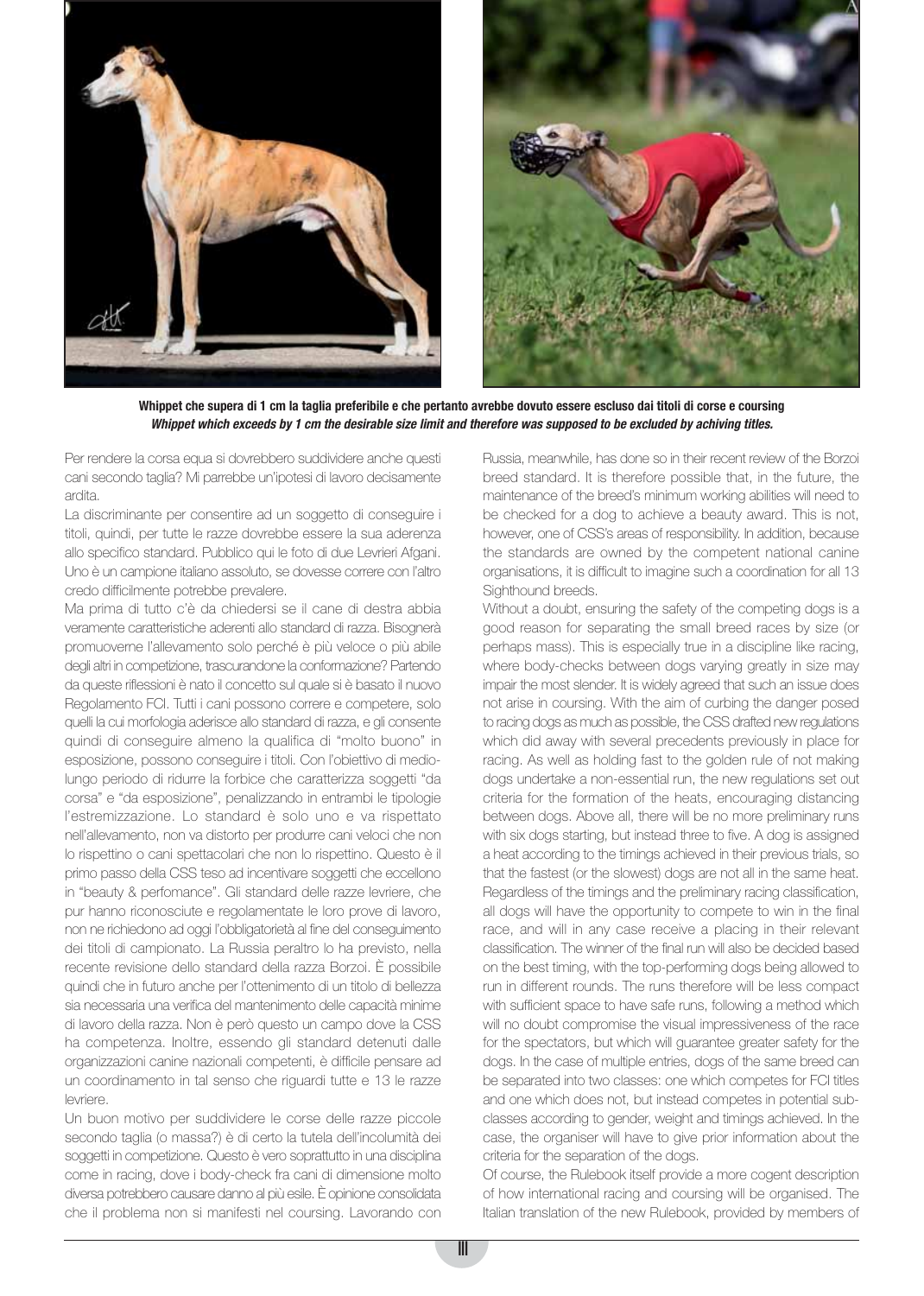



**Whippet che supera di 1 cm la taglia preferibile e che pertanto avrebbe dovuto essere escluso dai titoli di corse e coursing Whippet which exceeds by 1 cm the desirable size limit and therefore was supposed to be excluded by achiving titles.**

Per rendere la corsa equa si dovrebbero suddividere anche questi cani secondo taglia? Mi parrebbe un'ipotesi di lavoro decisamente ardita.

La discriminante per consentire ad un soggetto di conseguire i titoli, quindi, per tutte le razze dovrebbe essere la sua aderenza allo specifico standard. Pubblico qui le foto di due Levrieri Afgani. Uno è un campione italiano assoluto, se dovesse correre con l'altro credo difficilmente potrebbe prevalere.

Ma prima di tutto c'è da chiedersi se il cane di destra abbia veramente caratteristiche aderenti allo standard di razza. Bisognerà promuoverne l'allevamento solo perché è più veloce o più abile degli altri in competizione, trascurandone la conformazione? Partendo da queste riflessioni è nato il concetto sul quale si è basato il nuovo Regolamento FCI. Tutti i cani possono correre e competere, solo quelli la cui morfologia aderisce allo standard di razza, e gli consente quindi di conseguire almeno la qualifica di "molto buono" in esposizione, possono conseguire i titoli. Con l'obiettivo di mediolungo periodo di ridurre la forbice che caratterizza soggetti "da corsa" e "da esposizione", penalizzando in entrambi le tipologie l'estremizzazione. Lo standard è solo uno e va rispettato nell'allevamento, non va distorto per produrre cani veloci che non lo rispettino o cani spettacolari che non lo rispettino. Questo è il primo passo della CSS teso ad incentivare soggetti che eccellono in "beauty & perfomance". Gli standard delle razze levriere, che pur hanno riconosciute e regolamentate le loro prove di lavoro, non ne richiedono ad oggi l'obbligatorietà al fine del conseguimento dei titoli di campionato. La Russia peraltro lo ha previsto, nella recente revisione dello standard della razza Borzoi. È possibile quindi che in futuro anche per l'ottenimento di un titolo di bellezza sia necessaria una verifica del mantenimento delle capacità minime di lavoro della razza. Non è però questo un campo dove la CSS ha competenza. Inoltre, essendo gli standard detenuti dalle organizzazioni canine nazionali competenti, è difficile pensare ad un coordinamento in tal senso che riguardi tutte e 13 le razze levriere.

Un buon motivo per suddividere le corse delle razze piccole secondo taglia (o massa?) è di certo la tutela dell'incolumità dei soggetti in competizione. Questo è vero soprattutto in una disciplina come in racing, dove i body-check fra cani di dimensione molto diversa potrebbero causare danno al più esile. È opinione consolidata che il problema non si manifesti nel coursing. Lavorando con Russia, meanwhile, has done so in their recent review of the Borzoi breed standard. It is therefore possible that, in the future, the maintenance of the breed's minimum working abilities will need to be checked for a dog to achieve a beauty award. This is not, however, one of CSS's areas of responsibility. In addition, because the standards are owned by the competent national canine organisations, it is difficult to imagine such a coordination for all 13 Sighthound breeds.

Without a doubt, ensuring the safety of the competing dogs is a good reason for separating the small breed races by size (or perhaps mass). This is especially true in a discipline like racing, where body-checks between dogs varying greatly in size may impair the most slender. It is widely agreed that such an issue does not arise in coursing. With the aim of curbing the danger posed to racing dogs as much as possible, the CSS drafted new regulations which did away with several precedents previously in place for racing. As well as holding fast to the golden rule of not making dogs undertake a non-essential run, the new regulations set out criteria for the formation of the heats, encouraging distancing between dogs. Above all, there will be no more preliminary runs with six dogs starting, but instead three to five. A dog is assigned a heat according to the timings achieved in their previous trials, so that the fastest (or the slowest) dogs are not all in the same heat. Regardless of the timings and the preliminary racing classification, all dogs will have the opportunity to compete to win in the final race, and will in any case receive a placing in their relevant classification. The winner of the final run will also be decided based on the best timing, with the top-performing dogs being allowed to run in different rounds. The runs therefore will be less compact with sufficient space to have safe runs, following a method which will no doubt compromise the visual impressiveness of the race for the spectators, but which will guarantee greater safety for the dogs. In the case of multiple entries, dogs of the same breed can be separated into two classes: one which competes for FCI titles and one which does not, but instead competes in potential subclasses according to gender, weight and timings achieved. In the case, the organiser will have to give prior information about the criteria for the separation of the dogs.

Of course, the Rulebook itself provide a more cogent description of how international racing and coursing will be organised. The Italian translation of the new Rulebook, provided by members of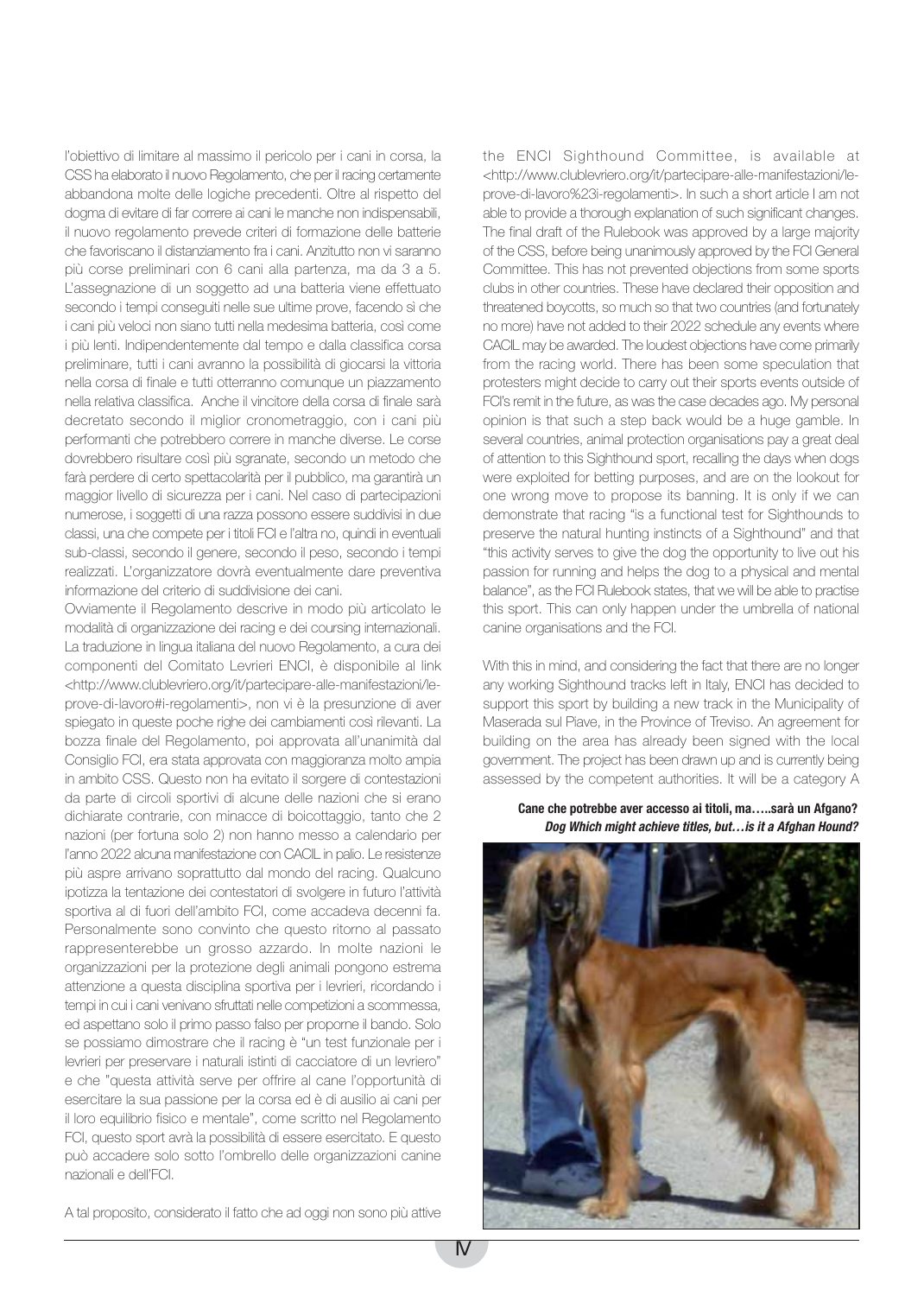l'obiettivo di limitare al massimo il pericolo per i cani in corsa, la CSS ha elaborato il nuovo Regolamento, che per il racing certamente abbandona molte delle logiche precedenti. Oltre al rispetto del dogma di evitare di far correre ai cani le manche non indispensabili, il nuovo regolamento prevede criteri di formazione delle batterie che favoriscano il distanziamento fra i cani. Anzitutto non vi saranno più corse preliminari con 6 cani alla partenza, ma da 3 a 5. L'assegnazione di un soggetto ad una batteria viene effettuato secondo i tempi conseguiti nelle sue ultime prove, facendo sì che i cani più veloci non siano tutti nella medesima batteria, così come i più lenti. Indipendentemente dal tempo e dalla classifica corsa preliminare, tutti i cani avranno la possibilità di giocarsi la vittoria nella corsa di finale e tutti otterranno comunque un piazzamento nella relativa classifica. Anche il vincitore della corsa di finale sarà decretato secondo il miglior cronometraggio, con i cani più performanti che potrebbero correre in manche diverse. Le corse dovrebbero risultare così più sgranate, secondo un metodo che farà perdere di certo spettacolarità per il pubblico, ma garantirà un maggior livello di sicurezza per i cani. Nel caso di partecipazioni numerose, i soggetti di una razza possono essere suddivisi in due classi, una che compete per i titoli FCI e l'altra no, quindi in eventuali sub-classi, secondo il genere, secondo il peso, secondo i tempi realizzati. L'organizzatore dovrà eventualmente dare preventiva informazione del criterio di suddivisione dei cani.

Ovviamente il Regolamento descrive in modo più articolato le modalità di organizzazione dei racing e dei coursing internazionali. La traduzione in lingua italiana del nuovo Regolamento, a cura dei componenti del Comitato Levrieri ENCI, è disponibile al link <http://www.clublevriero.org/it/partecipare-alle-manifestazioni/leprove-di-lavoro#i-regolamenti>, non vi è la presunzione di aver spiegato in queste poche righe dei cambiamenti così rilevanti. La bozza finale del Regolamento, poi approvata all'unanimità dal Consiglio FCI, era stata approvata con maggioranza molto ampia in ambito CSS. Questo non ha evitato il sorgere di contestazioni da parte di circoli sportivi di alcune delle nazioni che si erano dichiarate contrarie, con minacce di boicottaggio, tanto che 2 nazioni (per fortuna solo 2) non hanno messo a calendario per l'anno 2022 alcuna manifestazione con CACIL in palio. Le resistenze più aspre arrivano soprattutto dal mondo del racing. Qualcuno ipotizza la tentazione dei contestatori di svolgere in futuro l'attività sportiva al di fuori dell'ambito FCI, come accadeva decenni fa. Personalmente sono convinto che questo ritorno al passato rappresenterebbe un grosso azzardo. In molte nazioni le organizzazioni per la protezione degli animali pongono estrema attenzione a questa disciplina sportiva per i levrieri, ricordando i tempi in cui i cani venivano sfruttati nelle competizioni a scommessa, ed aspettano solo il primo passo falso per proporne il bando. Solo se possiamo dimostrare che il racing è "un test funzionale per i levrieri per preservare i naturali istinti di cacciatore di un levriero" e che "questa attività serve per offrire al cane l'opportunità di esercitare la sua passione per la corsa ed è di ausilio ai cani per il loro equilibrio fisico e mentale", come scritto nel Regolamento FCI, questo sport avrà la possibilità di essere esercitato. E questo può accadere solo sotto l'ombrello delle organizzazioni canine nazionali e dell'FCI.

A tal proposito, considerato il fatto che ad oggi non sono più attive

the ENCI Sighthound Committee, is available at <http://www.clublevriero.org/it/partecipare-alle-manifestazioni/leprove-di-lavoro%23i-regolamenti>. In such a short article I am not able to provide a thorough explanation of such significant changes. The final draft of the Rulebook was approved by a large majority of the CSS, before being unanimously approved by the FCI General Committee. This has not prevented objections from some sports clubs in other countries. These have declared their opposition and threatened boycotts, so much so that two countries (and fortunately no more) have not added to their 2022 schedule any events where CACIL may be awarded. The loudest objections have come primarily from the racing world. There has been some speculation that protesters might decide to carry out their sports events outside of FCI's remit in the future, as was the case decades ago. My personal opinion is that such a step back would be a huge gamble. In several countries, animal protection organisations pay a great deal of attention to this Sighthound sport, recalling the days when dogs were exploited for betting purposes, and are on the lookout for one wrong move to propose its banning. It is only if we can demonstrate that racing "is a functional test for Sighthounds to preserve the natural hunting instincts of a Sighthound" and that "this activity serves to give the dog the opportunity to live out his passion for running and helps the dog to a physical and mental balance", as the FCI Rulebook states, that we will be able to practise this sport. This can only happen under the umbrella of national canine organisations and the FCI.

With this in mind, and considering the fact that there are no longer any working Sighthound tracks left in Italy, ENCI has decided to support this sport by building a new track in the Municipality of Maserada sul Piave, in the Province of Treviso. An agreement for building on the area has already been signed with the local government. The project has been drawn up and is currently being assessed by the competent authorities. It will be a category A

**Cane che potrebbe aver accesso ai titoli, ma…..sarà un Afgano? Dog Which might achieve titles, but…is it a Afghan Hound?**